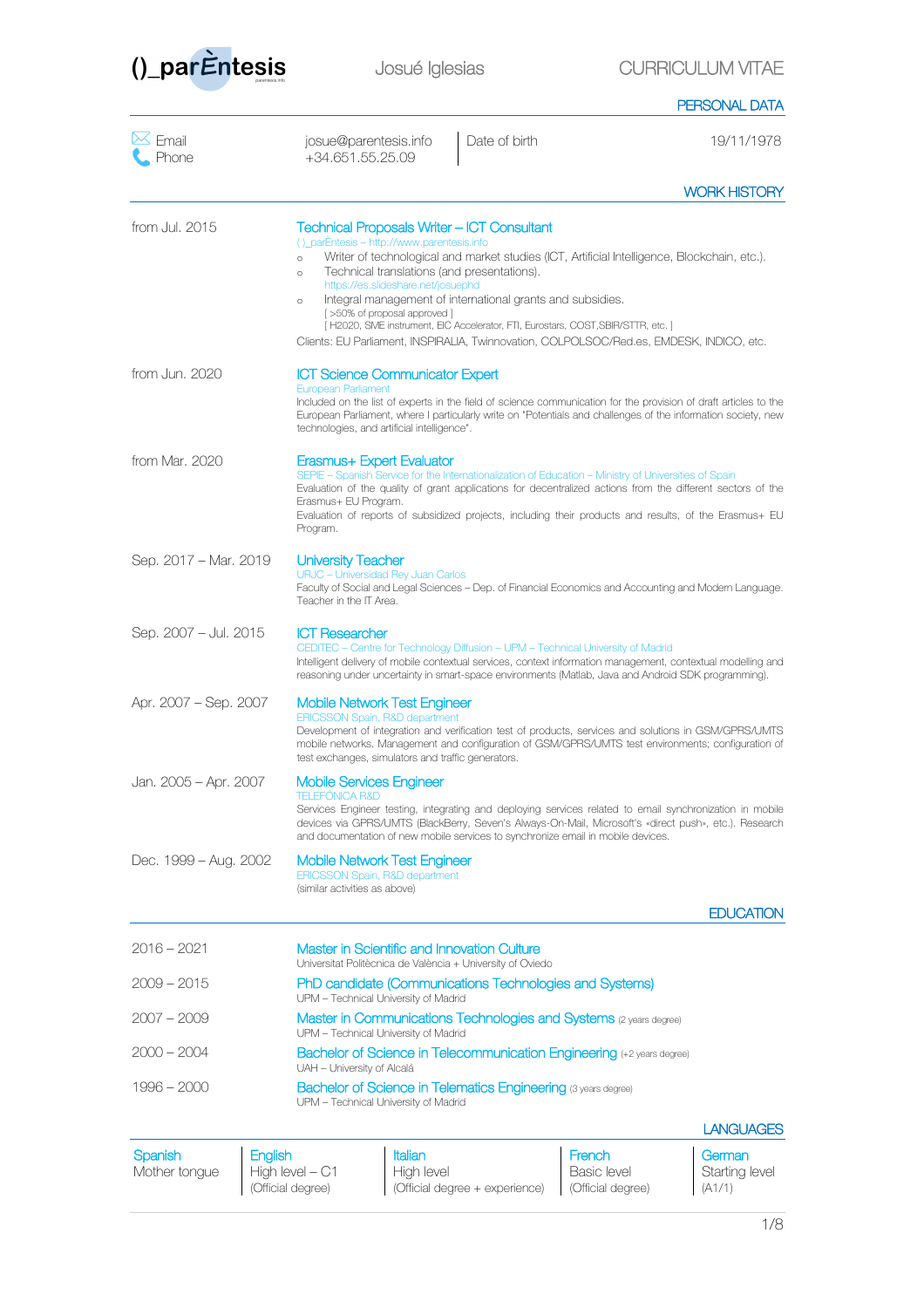

|                          |                                                                                                                                                                                                                                                       |                                                                                                                                                                                                                                                                                                                                           | PERSONAL DATA    |
|--------------------------|-------------------------------------------------------------------------------------------------------------------------------------------------------------------------------------------------------------------------------------------------------|-------------------------------------------------------------------------------------------------------------------------------------------------------------------------------------------------------------------------------------------------------------------------------------------------------------------------------------------|------------------|
| $\bowtie$ Email<br>Phone | josue@parentesis.info<br>+34.651.55.25.09                                                                                                                                                                                                             | Date of birth                                                                                                                                                                                                                                                                                                                             | 19/11/1978       |
|                          |                                                                                                                                                                                                                                                       |                                                                                                                                                                                                                                                                                                                                           | WORK HISTORY     |
| from Jul. 2015           | <b>Technical Proposals Writer – ICT Consultant</b><br>()_parÈntesis - http://www.parentesis.info<br>$\circ$<br>Technical translations (and presentations).<br>$\circ$<br>https://es.slideshare.net/josuephd<br>$\circ$<br>[>50% of proposal approved] | Writer of technological and market studies (ICT, Artificial Intelligence, Blockchain, etc.).<br>Integral management of international grants and subsidies.<br>[H2020, SME instrument, EIC Accelerator, FTI, Eurostars, COST, SBIR/STTR, etc.]<br>Clients: EU Parliament, INSPIRALIA, Twinnovation, COLPOLSOC/Red.es, EMDESK, INDICO, etc. |                  |
| from Jun, 2020           | <b>ICT Science Communicator Expert</b><br>European Parliament<br>technologies, and artificial intelligence".                                                                                                                                          | Included on the list of experts in the field of science communication for the provision of draft articles to the<br>European Parliament, where I particularly write on "Potentials and challenges of the information society, new                                                                                                         |                  |
| from Mar, 2020           | Erasmus+ Expert Evaluator<br>Erasmus+ EU Program.<br>Program.                                                                                                                                                                                         | SEPIE - Spanish Service for the Internationalization of Education - Ministry of Universities of Spain<br>Evaluation of the quality of grant applications for decentralized actions from the different sectors of the<br>Evaluation of reports of subsidized projects, including their products and results, of the Erasmus+ EU            |                  |
| Sep. 2017 - Mar. 2019    | <b>University Teacher</b><br>URJC - Universidad Rey Juan Carlos<br>Teacher in the IT Area.                                                                                                                                                            | Faculty of Social and Legal Sciences - Dep. of Financial Economics and Accounting and Modern Language.                                                                                                                                                                                                                                    |                  |
| Sep. 2007 - Jul. 2015    | <b>ICT Researcher</b>                                                                                                                                                                                                                                 | CEDITEC - Centre for Technology Diffusion - UPM - Technical University of Madrid<br>Intelligent delivery of mobile contextual services, context information management, contextual modelling and<br>reasoning under uncertainty in smart-space environments (Matlab, Java and Android SDK programming).                                   |                  |
| Apr. 2007 – Sep. 2007    | <b>Mobile Network Test Engineer</b><br><b>ERICSSON Spain, R&amp;D department</b><br>test exchanges, simulators and traffic generators.                                                                                                                | Development of integration and verification test of products, services and solutions in GSM/GPRS/UMTS<br>mobile networks. Management and configuration of GSM/GPRS/UMTS test environments; configuration of                                                                                                                               |                  |
| Jan. 2005 - Apr. 2007    | <b>Mobile Services Engineer</b><br>TELEFONICA R&D                                                                                                                                                                                                     | Services Engineer testing, integrating and deploying services related to email synchronization in mobile<br>devices via GPRS/UMTS (BlackBerry, Seven's Always-On-Mail, Microsoft's «direct push», etc.). Research<br>and documentation of new mobile services to synchronize email in mobile devices.                                     |                  |
| Dec. 1999 – Aug. 2002    | Mobile Network Test Engineer<br><b>ERICSSON Spain, R&amp;D department</b><br>(similar activities as above)                                                                                                                                            |                                                                                                                                                                                                                                                                                                                                           |                  |
|                          |                                                                                                                                                                                                                                                       |                                                                                                                                                                                                                                                                                                                                           | <b>EDUCATION</b> |
| $2016 - 2021$            | <b>Master in Scientific and Innovation Culture</b><br>Universitat Politècnica de València + University of Oviedo                                                                                                                                      |                                                                                                                                                                                                                                                                                                                                           |                  |
| 2009 – 2015              | UPM - Technical University of Madrid                                                                                                                                                                                                                  | PhD candidate (Communications Technologies and Systems)                                                                                                                                                                                                                                                                                   |                  |
| 2007 – 2009              | UPM - Technical University of Madrid                                                                                                                                                                                                                  | Master in Communications Technologies and Systems (2 years degree)                                                                                                                                                                                                                                                                        |                  |
| 2000 – 2004              | UAH - University of Alcalá                                                                                                                                                                                                                            | Bachelor of Science in Telecommunication Engineering (+2 years degree)                                                                                                                                                                                                                                                                    |                  |
| 1996 – 2000              | UPM - Technical University of Madrid                                                                                                                                                                                                                  | <b>Bachelor of Science in Telematics Engineering</b> (3 years degree)                                                                                                                                                                                                                                                                     |                  |
|                          |                                                                                                                                                                                                                                                       |                                                                                                                                                                                                                                                                                                                                           | LANGUAGES        |

| Spanish       | English           | Italian                        | French            | I German       |
|---------------|-------------------|--------------------------------|-------------------|----------------|
| Mother tonque | High level $- C1$ | High level                     | Basic level       | Starting level |
|               | (Official degree) | (Official degree + experience) | (Official degree) | (A1/1)         |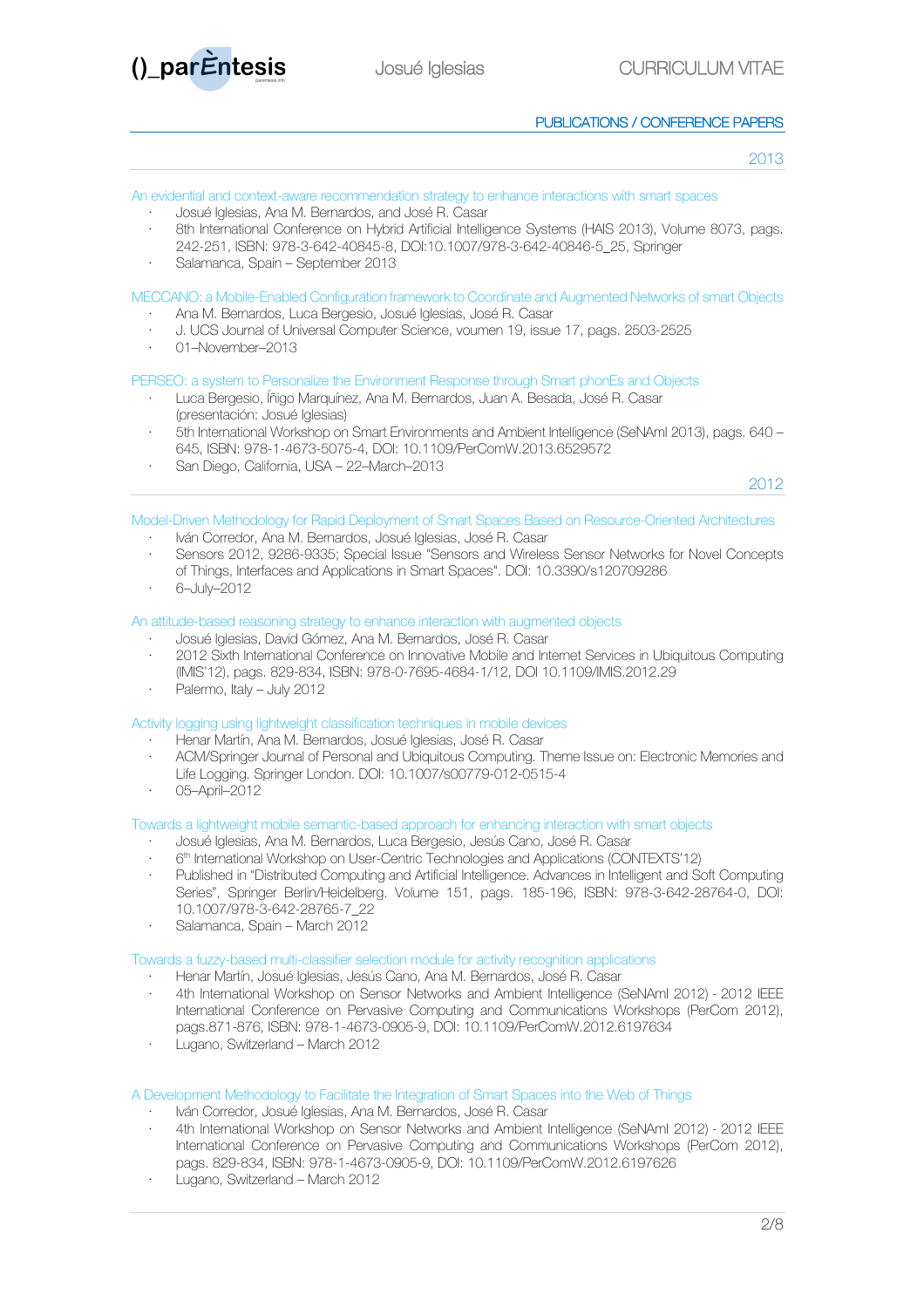

# PUBLICATIONS / CONFERENCE PAPERS

2013

| An evidential and context-aware recommendation strategy to enhance interactions with smart spaces<br>Josué Iglesias, Ana M. Bernardos, and José R. Casar<br>8th International Conference on Hybrid Artificial Intelligence Systems (HAIS 2013), Volume 8073, pags.<br>242-251, ISBN: 978-3-642-40845-8, DOI:10.1007/978-3-642-40846-5 25, Springer<br>Salamanca, Spain – September 2013 |
|-----------------------------------------------------------------------------------------------------------------------------------------------------------------------------------------------------------------------------------------------------------------------------------------------------------------------------------------------------------------------------------------|
| MECCANO: a Mobile-Enabled Configuration framework to Coordinate and Augmented Networks of smart Objects<br>Ana M. Bernardos, Luca Bergesio, Josué Iglesias, José R. Casar<br>J. UCS Journal of Universal Computer Science, voumen 19, issue 17, pags. 2503-2525                                                                                                                         |

· 01–November–2013

## PERSEO: a system to Personalize the Environment Response through Smart phonEs and Objects

- · Luca Bergesio, Íñigo Marquínez, Ana M. Bernardos, Juan A. Besada, José R. Casar (presentación: Josué Iglesias)
- · 5th International Workshop on Smart Environments and Ambient Intelligence (SeNAmI 2013), pags. 640 645, ISBN: 978-1-4673-5075-4, DOI: 10.1109/PerComW.2013.6529572
- · San Diego, California, USA 22–March–2013

2012

- Model-Driven Methodology for Rapid Deployment of Smart Spaces Based on Resource-Oriented Architectures
	- · Iván Corredor, Ana M. Bernardos, Josué Iglesias, José R. Casar
	- · Sensors 2012, 9286-9335; Special Issue "Sensors and Wireless Sensor Networks for Novel Concepts of Things, Interfaces and Applications in Smart Spaces". DOI: 10.3390/s120709286
	- · 6–July–2012

# An attitude-based reasoning strategy to enhance interaction with augmented objects

- · Josué Iglesias, David Gómez, Ana M. Bernardos, José R. Casar
- · 2012 Sixth International Conference on Innovative Mobile and Internet Services in Ubiquitous Computing (IMIS'12), pags. 829-834, ISBN: 978-0-7695-4684-1/12, DOI 10.1109/IMIS.2012.29
- Palermo, Italy July 2012

Activity logging using lightweight classification techniques in mobile devices

- · Henar Martín, Ana M. Bernardos, Josué Iglesias, José R. Casar
- · ACM/Springer Journal of Personal and Ubiquitous Computing. Theme Issue on: Electronic Memories and Life Logging. Springer London. DOI: 10.1007/s00779-012-0515-4
- · 05–April–2012

Towards a lightweight mobile semantic-based approach for enhancing interaction with smart objects

- · Josué Iglesias, Ana M. Bernardos, Luca Bergesio, Jesús Cano, José R. Casar
- · 6th International Workshop on User-Centric Technologies and Applications (CONTEXTS'12)
- · Published in "Distributed Computing and Artificial Intelligence. Advances in Intelligent and Soft Computing Series", Springer Berlin/Heidelberg. Volume 151, pags. 185-196, ISBN: 978-3-642-28764-0, DOI: 10.1007/978-3-642-28765-7\_22
- · Salamanca, Spain March 2012

## Towards a fuzzy-based multi-classifier selection module for activity recognition applications

- · Henar Martín, Josué Iglesias, Jesús Cano, Ana M. Bernardos, José R. Casar
- · 4th International Workshop on Sensor Networks and Ambient Intelligence (SeNAmI 2012) 2012 IEEE International Conference on Pervasive Computing and Communications Workshops (PerCom 2012), pags.871-876, ISBN: 978-1-4673-0905-9, DOI: 10.1109/PerComW.2012.6197634
- · Lugano, Switzerland March 2012

## A Development Methodology to Facilitate the Integration of Smart Spaces into the Web of Things

- · Iván Corredor, Josué Iglesias, Ana M. Bernardos, José R. Casar
- · 4th International Workshop on Sensor Networks and Ambient Intelligence (SeNAmI 2012) 2012 IEEE International Conference on Pervasive Computing and Communications Workshops (PerCom 2012), pags. 829-834, ISBN: 978-1-4673-0905-9, DOI: 10.1109/PerComW.2012.6197626
- · Lugano, Switzerland March 2012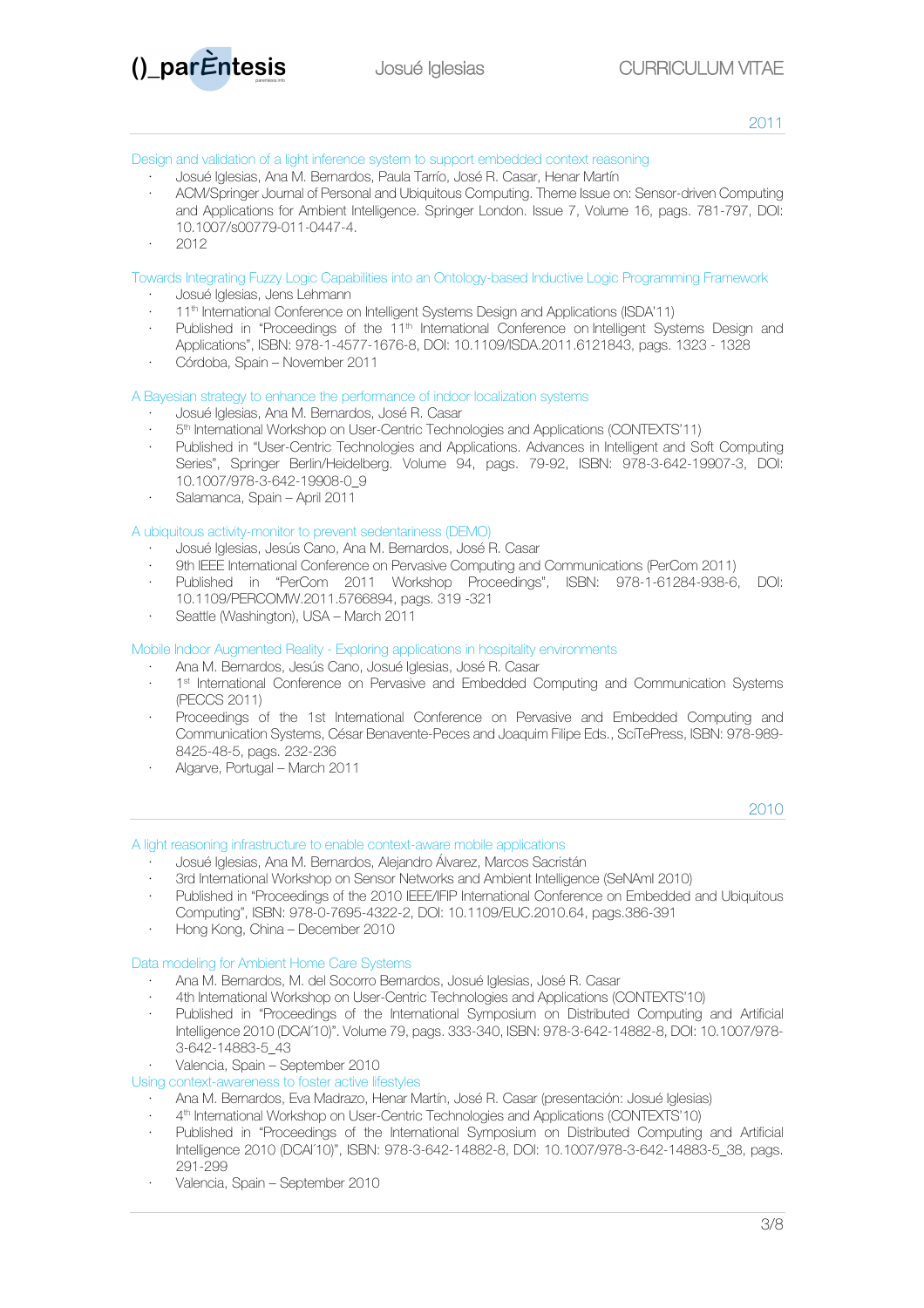

#### Design and validation of a light inference system to support embedded context reasoning

- · Josué Iglesias, Ana M. Bernardos, Paula Tarrío, José R. Casar, Henar Martín
- · ACM/Springer Journal of Personal and Ubiquitous Computing. Theme Issue on: Sensor-driven Computing and Applications for Ambient Intelligence. Springer London. Issue 7, Volume 16, pags. 781-797, DOI: 10.1007/s00779-011-0447-4.
- · 2012

Towards Integrating Fuzzy Logic Capabilities into an Ontology-based Inductive Logic Programming Framework

- · Josué Iglesias, Jens Lehmann
- 11<sup>th</sup> International Conference on Intelligent Systems Design and Applications (ISDA'11)
- Published in "Proceedings of the 11<sup>th</sup> International Conference on Intelligent Systems Design and Applications", ISBN: 978-1-4577-1676-8, DOI: 10.1109/ISDA.2011.6121843, pags. 1323 - 1328
- · Córdoba, Spain November 2011

## A Bayesian strategy to enhance the performance of indoor localization systems

- · Josué Iglesias, Ana M. Bernardos, José R. Casar
- · 5th International Workshop on User-Centric Technologies and Applications (CONTEXTS'11)
- · Published in "User-Centric Technologies and Applications. Advances in Intelligent and Soft Computing Series", Springer Berlin/Heidelberg. Volume 94, pags. 79-92, ISBN: 978-3-642-19907-3, DOI: 10.1007/978-3-642-19908-0\_9
- · Salamanca, Spain April 2011

## A ubiquitous activity-monitor to prevent sedentariness (DEMO)

- · Josué Iglesias, Jesús Cano, Ana M. Bernardos, José R. Casar
- · 9th IEEE International Conference on Pervasive Computing and Communications (PerCom 2011)
- · Published in "PerCom 2011 Workshop Proceedings", ISBN: 978-1-61284-938-6, DOI: 10.1109/PERCOMW.2011.5766894, pags. 319 -321
- · Seattle (Washington), USA March 2011

## Mobile Indoor Augmented Reality - Exploring applications in hospitality environments

- · Ana M. Bernardos, Jesús Cano, Josué Iglesias, José R. Casar
- · 1st International Conference on Pervasive and Embedded Computing and Communication Systems (PECCS 2011)
- · Proceedings of the 1st International Conference on Pervasive and Embedded Computing and Communication Systems, César Benavente-Peces and Joaquim Filipe Eds., SciTePress, ISBN: 978-989- 8425-48-5, pags. 232-236
- · Algarve, Portugal March 2011

2010

#### A light reasoning infrastructure to enable context-aware mobile applications

- · Josué Iglesias, Ana M. Bernardos, Alejandro Álvarez, Marcos Sacristán
- · 3rd International Workshop on Sensor Networks and Ambient Intelligence (SeNAmI 2010)
- Published in "Proceedings of the 2010 IEEE/IFIP International Conference on Embedded and Ubiquitous Computing", ISBN: 978-0-7695-4322-2, DOI: 10.1109/EUC.2010.64, pags.386-391
- · Hong Kong, China December 2010

### Data modeling for Ambient Home Care Systems

- · Ana M. Bernardos, M. del Socorro Bernardos, Josué Iglesias, José R. Casar
- · 4th International Workshop on User-Centric Technologies and Applications (CONTEXTS'10)
- · Published in "Proceedings of the International Symposium on Distributed Computing and Artificial Intelligence 2010 (DCAI´10)". Volume 79, pags. 333-340, ISBN: 978-3-642-14882-8, DOI: 10.1007/978- 3-642-14883-5\_43
- · Valencia, Spain September 2010

# Using context-awareness to foster active lifestyles

- · Ana M. Bernardos, Eva Madrazo, Henar Martín, José R. Casar (presentación: Josué Iglesias)
- · 4th International Workshop on User-Centric Technologies and Applications (CONTEXTS'10)
- · Published in "Proceedings of the International Symposium on Distributed Computing and Artificial Intelligence 2010 (DCAI´10)", ISBN: 978-3-642-14882-8, DOI: 10.1007/978-3-642-14883-5\_38, pags. 291-299
- · Valencia, Spain September 2010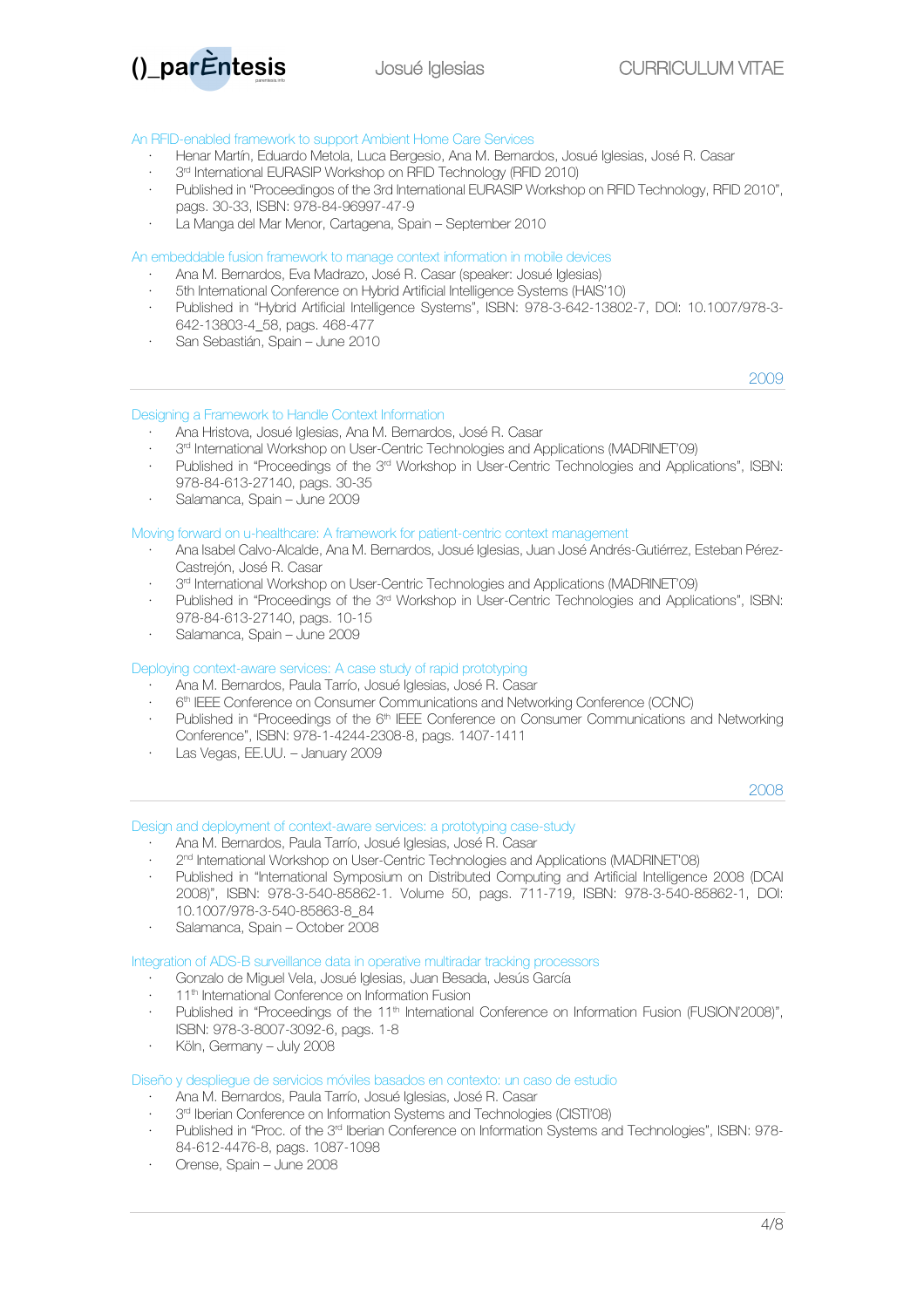

#### An RFID-enabled framework to support Ambient Home Care Services

- · Henar Martín, Eduardo Metola, Luca Bergesio, Ana M. Bernardos, Josué Iglesias, José R. Casar
- 3<sup>rd</sup> International EURASIP Workshop on RFID Technology (RFID 2010)
- · Published in "Proceedingos of the 3rd International EURASIP Workshop on RFID Technology, RFID 2010", pags. 30-33, ISBN: 978-84-96997-47-9
- La Manga del Mar Menor, Cartagena, Spain September 2010

#### An embeddable fusion framework to manage context information in mobile devices

- · Ana M. Bernardos, Eva Madrazo, José R. Casar (speaker: Josué Iglesias)
- · 5th International Conference on Hybrid Artificial Intelligence Systems (HAIS'10)
- · Published in "Hybrid Artificial Intelligence Systems", ISBN: 978-3-642-13802-7, DOI: 10.1007/978-3- 642-13803-4\_58, pags. 468-477
- · San Sebastián, Spain June 2010

2009

# Designing a Framework to Handle Context Information

- · Ana Hristova, Josué Iglesias, Ana M. Bernardos, José R. Casar
- 3<sup>rd</sup> International Workshop on User-Centric Technologies and Applications (MADRINET'09)
- · Published in "Proceedings of the 3rd Workshop in User-Centric Technologies and Applications", ISBN: 978-84-613-27140, pags. 30-35
- · Salamanca, Spain June 2009

#### Moving forward on u-healthcare: A framework for patient-centric context management

- · Ana Isabel Calvo-Alcalde, Ana M. Bernardos, Josué Iglesias, Juan José Andrés-Gutiérrez, Esteban Pérez-Castrejón, José R. Casar
- 3<sup>rd</sup> International Workshop on User-Centric Technologies and Applications (MADRINET'09)
- Published in "Proceedings of the 3<sup>rd</sup> Workshop in User-Centric Technologies and Applications", ISBN: 978-84-613-27140, pags. 10-15
- · Salamanca, Spain June 2009

#### Deploying context-aware services: A case study of rapid prototyping

- · Ana M. Bernardos, Paula Tarrío, Josué Iglesias, José R. Casar
- · 6th IEEE Conference on Consumer Communications and Networking Conference (CCNC)
- Published in "Proceedings of the 6<sup>th</sup> IEEE Conference on Consumer Communications and Networking Conference", ISBN: 978-1-4244-2308-8, pags. 1407-1411
- · Las Vegas, EE.UU. January 2009

2008

#### Design and deployment of context-aware services: a prototyping case-study

- · Ana M. Bernardos, Paula Tarrío, Josué Iglesias, José R. Casar
- 2<sup>nd</sup> International Workshop on User-Centric Technologies and Applications (MADRINET'08)
- · Published in "International Symposium on Distributed Computing and Artificial Intelligence 2008 (DCAI 2008)", ISBN: 978-3-540-85862-1. Volume 50, pags. 711-719, ISBN: 978-3-540-85862-1, DOI: 10.1007/978-3-540-85863-8\_84
- · Salamanca, Spain October 2008

Integration of ADS-B surveillance data in operative multiradar tracking processors

- · Gonzalo de Miguel Vela, Josué Iglesias, Juan Besada, Jesús García
- 11<sup>th</sup> International Conference on Information Fusion
- Published in "Proceedings of the 11<sup>th</sup> International Conference on Information Fusion (FUSION'2008)", ISBN: 978-3-8007-3092-6, pags. 1-8
- · Köln, Germany July 2008

Diseño y despliegue de servicios móviles basados en contexto: un caso de estudio

- · Ana M. Bernardos, Paula Tarrío, Josué Iglesias, José R. Casar
- 3<sup>rd</sup> Iberian Conference on Information Systems and Technologies (CISTI'08)
- · Published in "Proc. of the 3rd Iberian Conference on Information Systems and Technologies", ISBN: 978- 84-612-4476-8, pags. 1087-1098
- · Orense, Spain June 2008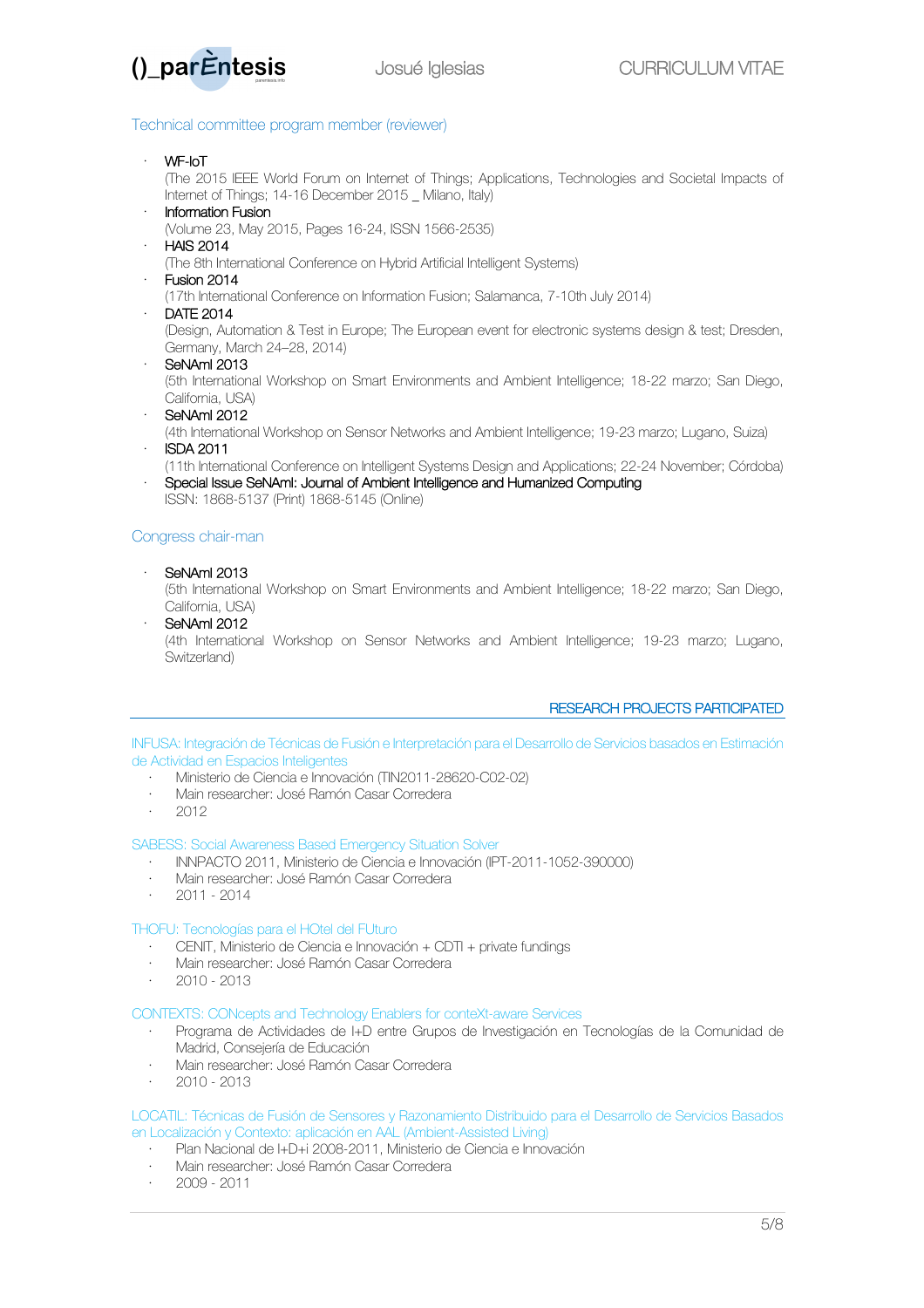

# Technical committee program member (reviewer)

· WF-IoT

(The 2015 IEEE World Forum on Internet of Things; Applications, Technologies and Societal Impacts of Internet of Things; 14-16 December 2015 \_ Milano, Italy)

· Information Fusion

(Volume 23, May 2015, Pages 16-24, ISSN 1566-2535)

· HAIS 2014

(The 8th International Conference on Hybrid Artificial Intelligent Systems)

Fusion 2014

(17th International Conference on Information Fusion; Salamanca, 7-10th July 2014)

· DATE 2014

(Design, Automation & Test in Europe; The European event for electronic systems design & test; Dresden, Germany, March 24–28, 2014)

SeNAmi 2013

(5th International Workshop on Smart Environments and Ambient Intelligence; 18-22 marzo; San Diego, California, USA)

SeNAml 2012

(4th International Workshop on Sensor Networks and Ambient Intelligence; 19-23 marzo; Lugano, Suiza) · ISDA 2011

- 
- (11th International Conference on Intelligent Systems Design and Applications; 22-24 November; Córdoba) · Special Issue SeNAmI: Journal of Ambient Intelligence and Humanized Computing ISSN: 1868-5137 (Print) 1868-5145 (Online)

# Congress chair-man

· SeNAmI 2013

(5th International Workshop on Smart Environments and Ambient Intelligence; 18-22 marzo; San Diego, California, USA)

· SeNAmI 2012 (4th International Workshop on Sensor Networks and Ambient Intelligence; 19-23 marzo; Lugano, Switzerland)

# RESEARCH PROJECTS PARTICIPATED

INFUSA: Integración de Técnicas de Fusión e Interpretación para el Desarrollo de Servicios basados en Estimación de Actividad en Espacios Inteligentes

- · Ministerio de Ciencia e Innovación (TIN2011-28620-C02-02)
- · Main researcher: José Ramón Casar Corredera
- · 2012

#### SABESS: Social Awareness Based Emergency Situation Solver

- · INNPACTO 2011, Ministerio de Ciencia e Innovación (IPT-2011-1052-390000)
- · Main researcher: José Ramón Casar Corredera
- · 2011 2014

## THOFU: Tecnologías para el HOtel del FUturo

- · CENIT, Ministerio de Ciencia e Innovación + CDTI + private fundings
- · Main researcher: José Ramón Casar Corredera
- $\cdot$  2010 2013

# CONTEXTS: CONcepts and Technology Enablers for conteXt-aware Services

- · Programa de Actividades de I+D entre Grupos de Investigación en Tecnologías de la Comunidad de Madrid, Consejería de Educación
- · Main researcher: José Ramón Casar Corredera
- · 2010 2013

### LOCATIL: Técnicas de Fusión de Sensores y Razonamiento Distribuido para el Desarrollo de Servicios Basados en Localización y Contexto: aplicación en AAL (Ambient-Assisted Living)

- · Plan Nacional de I+D+i 2008-2011, Ministerio de Ciencia e Innovación
- · Main researcher: José Ramón Casar Corredera
- · 2009 2011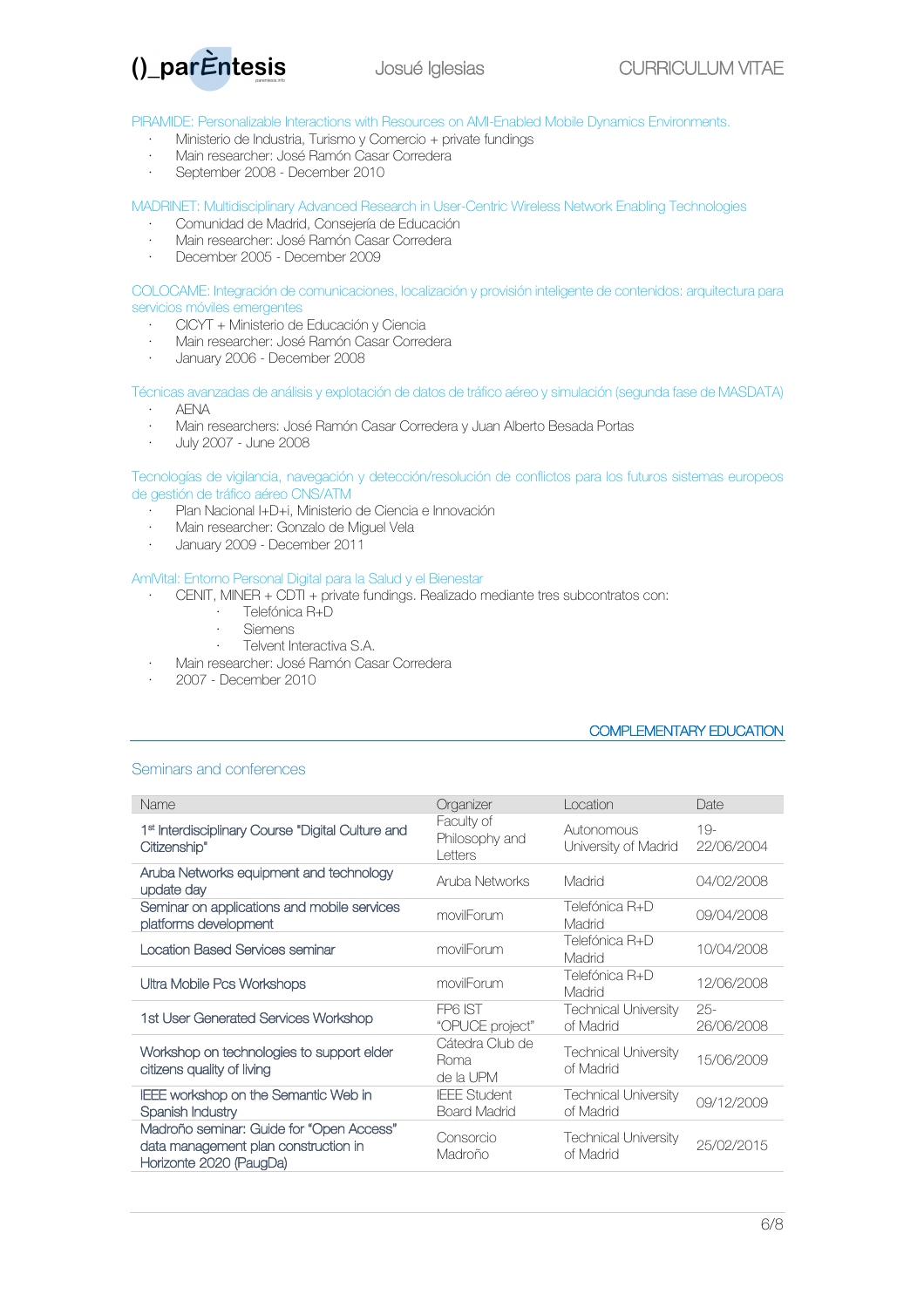

PIRAMIDE: Personalizable Interactions with Resources on AMI-Enabled Mobile Dynamics Environments.

- · Ministerio de Industria, Turismo y Comercio + private fundings
- · Main researcher: José Ramón Casar Corredera
- · September 2008 December 2010

MADRINET: Multidisciplinary Advanced Research in User-Centric Wireless Network Enabling Technologies

- · Comunidad de Madrid, Consejería de Educación
- · Main researcher: José Ramón Casar Corredera
- · December 2005 December 2009

COLOCAME: Integración de comunicaciones, localización y provisión inteligente de contenidos: arquitectura para servicios móviles emergentes

- · CICYT + Ministerio de Educación y Ciencia
- · Main researcher: José Ramón Casar Corredera
- · January 2006 December 2008

Técnicas avanzadas de análisis y explotación de datos de tráfico aéreo y simulación (segunda fase de MASDATA)

- · AENA
- · Main researchers: José Ramón Casar Corredera y Juan Alberto Besada Portas
- · July 2007 June 2008

Tecnologías de vigilancia, navegación y detección/resolución de conflictos para los futuros sistemas europeos de gestión de tráfico aéreo CNS/ATM

- · Plan Nacional I+D+i, Ministerio de Ciencia e Innovación
- · Main researcher: Gonzalo de Miguel Vela
- · January 2009 December 2011

#### AmIVital: Entorno Personal Digital para la Salud y el Bienestar

- · CENIT, MINER + CDTI + private fundings. Realizado mediante tres subcontratos con:
- · Telefónica R+D<br>· Siemens
	- · Siemens
	- · Telvent Interactiva S.A.
- · Main researcher: José Ramón Casar Corredera
- · 2007 December 2010

# COMPLEMENTARY EDUCATION

#### Seminars and conferences

| Name                                                                                                        | Organizer                                  | Location                                 | Date                 |
|-------------------------------------------------------------------------------------------------------------|--------------------------------------------|------------------------------------------|----------------------|
| 1 <sup>st</sup> Interdisciplinary Course "Digital Culture and<br>Citizenship"                               | Faculty of<br>Philosophy and<br>Letters    | Autonomous<br>University of Madrid       | $19-$<br>22/06/2004  |
| Aruba Networks equipment and technology<br>update day                                                       | Aruba Networks                             | Madrid                                   | 04/02/2008           |
| Seminar on applications and mobile services<br>platforms development                                        | movilForum                                 | Telefónica R+D<br>Madrid                 | 09/04/2008           |
| <b>Location Based Services seminar</b>                                                                      | movilForum                                 | Telefónica R+D<br>Madrid                 | 10/04/2008           |
| Ultra Mobile Pcs Workshops                                                                                  | movilForum                                 | Telefónica R+D<br>Madrid                 | 12/06/2008           |
| 1st User Generated Services Workshop                                                                        | FP6 IST<br>"OPUCE project"                 | <b>Technical University</b><br>of Madrid | $25 -$<br>26/06/2008 |
| Workshop on technologies to support elder<br>citizens quality of living                                     | Cátedra Club de<br>Roma<br>de la UPM       | <b>Technical University</b><br>of Madrid | 15/06/2009           |
| IEEE workshop on the Semantic Web in<br>Spanish Industry                                                    | <b>IEEE Student</b><br><b>Board Madrid</b> | <b>Technical University</b><br>of Madrid | 09/12/2009           |
| Madroño seminar: Guide for "Open Access"<br>data management plan construction in<br>Horizonte 2020 (PaugDa) | Consorcio<br>Madroño                       | <b>Technical University</b><br>of Madrid | 25/02/2015           |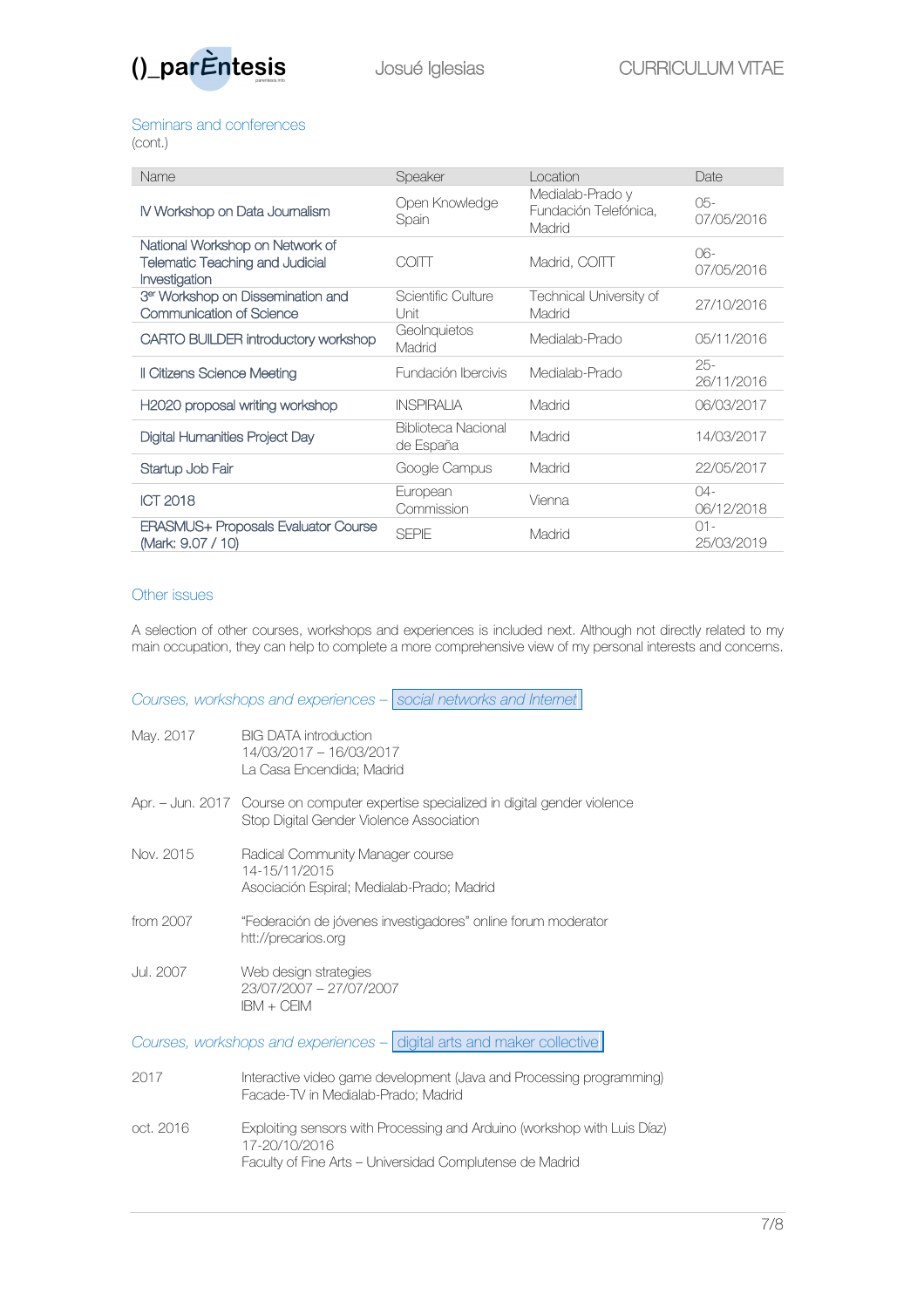

# Seminars and conferences

(cont.)

| Name                                                                                       | Speaker                          | Location                                            | Date                 |
|--------------------------------------------------------------------------------------------|----------------------------------|-----------------------------------------------------|----------------------|
| IV Workshop on Data Journalism                                                             | Open Knowledge<br>Spain          | Medialab-Prado y<br>Fundación Telefónica,<br>Madrid | 05-<br>07/05/2016    |
| National Workshop on Network of<br><b>Telematic Teaching and Judicial</b><br>Investigation | COITT                            | Madrid, COITT                                       | 06-<br>07/05/2016    |
| 3 <sup>er</sup> Workshop on Dissemination and<br>Communication of Science                  | Scientific Culture<br>l Jnit     | Technical University of<br>Madrid                   | 27/10/2016           |
| CARTO BUILDER introductory workshop                                                        | GeoInquietos<br>Madrid           | Medialab-Prado                                      | 05/11/2016           |
| Il Citizens Science Meeting                                                                | Fundación Ibercivis              | Medialab-Prado                                      | $25-$<br>26/11/2016  |
| H2020 proposal writing workshop                                                            | <b>INSPIRALIA</b>                | Madrid                                              | 06/03/2017           |
| Digital Humanities Project Day                                                             | Biblioteca Nacional<br>de España | Madrid                                              | 14/03/2017           |
| Startup Job Fair                                                                           | Google Campus                    | Madrid                                              | 22/05/2017           |
| <b>ICT 2018</b>                                                                            | European<br>Commission           | Vienna                                              | $04 -$<br>06/12/2018 |
| <b>ERASMUS+ Proposals Evaluator Course</b><br>(Mark: 9.07 / 10)                            | <b>SEPIE</b>                     | Madrid                                              | $01 -$<br>25/03/2019 |

# Other issues

A selection of other courses, workshops and experiences is included next. Although not directly related to my main occupation, they can help to complete a more comprehensive view of my personal interests and concerns.

*Courses, workshops and experiences – social networks and Internet*

| May. 2017                                                              | <b>BIG DATA introduction</b><br>14/03/2017 - 16/03/2017<br>La Casa Encendida; Madrid                                                                  |  |
|------------------------------------------------------------------------|-------------------------------------------------------------------------------------------------------------------------------------------------------|--|
|                                                                        | Apr. – Jun. 2017 Course on computer expertise specialized in digital gender violence<br>Stop Digital Gender Violence Association                      |  |
| Nov. 2015                                                              | Radical Community Manager course<br>14-15/11/2015<br>Asociación Espiral; Medialab-Prado; Madrid                                                       |  |
| from 2007                                                              | "Federación de jóvenes investigadores" online forum moderator<br>htt://precarios.org                                                                  |  |
| Jul. 2007                                                              | Web design strategies<br>23/07/2007 - 27/07/2007<br>$IBM + CFIM$                                                                                      |  |
| Courses, workshops and experiences - digital arts and maker collective |                                                                                                                                                       |  |
| 2017                                                                   | Interactive video game development (Java and Processing programming)<br>Facade-TV in Medialab-Prado; Madrid                                           |  |
| oct. 2016                                                              | Exploiting sensors with Processing and Arduino (workshop with Luis Díaz)<br>17-20/10/2016<br>Faculty of Fine Arts - Universidad Complutense de Madrid |  |